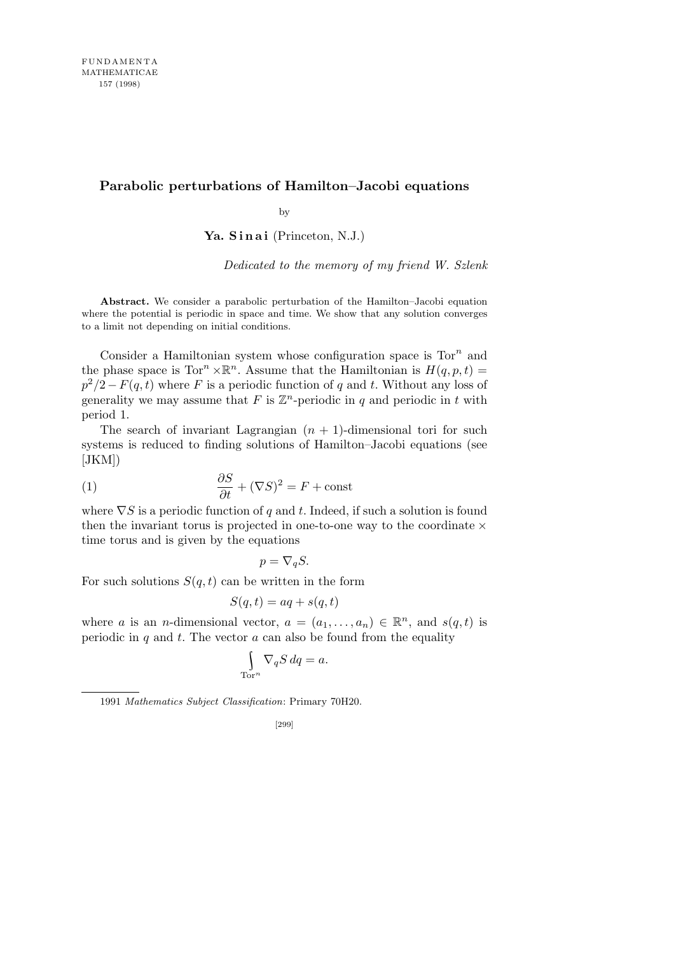## **Parabolic perturbations of Hamilton–Jacobi equations**

by

Ya. Sinai (Princeton, N.J.)

*Dedicated to the memory of my friend W. Szlenk*

**Abstract.** We consider a parabolic perturbation of the Hamilton–Jacobi equation where the potential is periodic in space and time. We show that any solution converges to a limit not depending on initial conditions.

Consider a Hamiltonian system whose configuration space is Tor*<sup>n</sup>* and the phase space is  $Tor^n \times \mathbb{R}^n$ . Assume that the Hamiltonian is  $H(q, p, t) =$  $p^2/2 - F(q, t)$  where *F* is a periodic function of *q* and *t*. Without any loss of generality we may assume that  $F$  is  $\mathbb{Z}^n$ -periodic in  $q$  and periodic in  $t$  with period 1.

The search of invariant Lagrangian  $(n + 1)$ -dimensional tori for such systems is reduced to finding solutions of Hamilton–Jacobi equations (see  $[JKM]$ 

(1) 
$$
\frac{\partial S}{\partial t} + (\nabla S)^2 = F + \text{const}
$$

where *∇S* is a periodic function of *q* and *t*. Indeed, if such a solution is found then the invariant torus is projected in one-to-one way to the coordinate *×* time torus and is given by the equations

$$
p = \nabla_q S.
$$

For such solutions  $S(q, t)$  can be written in the form

$$
S(q, t) = aq + s(q, t)
$$

where *a* is an *n*-dimensional vector,  $a = (a_1, \ldots, a_n) \in \mathbb{R}^n$ , and  $s(q, t)$  is periodic in  $q$  and  $t$ . The vector  $a$  can also be found from the equality

$$
\int_{\text{Tor}^n} \nabla_q S \, dq = a.
$$

1991 *Mathematics Subject Classification*: Primary 70H20.

[299]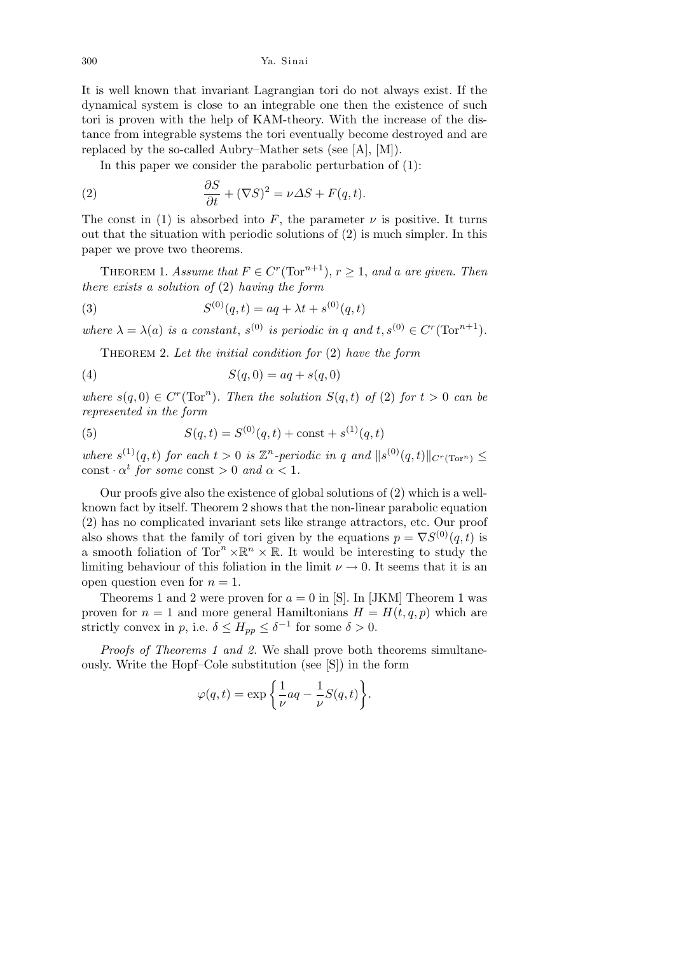300 Ya. Sinai

It is well known that invariant Lagrangian tori do not always exist. If the dynamical system is close to an integrable one then the existence of such tori is proven with the help of KAM-theory. With the increase of the distance from integrable systems the tori eventually become destroyed and are replaced by the so-called Aubry–Mather sets (see [A], [M]).

In this paper we consider the parabolic perturbation of (1):

(2) 
$$
\frac{\partial S}{\partial t} + (\nabla S)^2 = \nu \Delta S + F(q, t).
$$

The const in (1) is absorbed into  $F$ , the parameter  $\nu$  is positive. It turns out that the situation with periodic solutions of  $(2)$  is much simpler. In this paper we prove two theorems.

THEOREM 1. *Assume that*  $F \in C^r(\text{Tor}^{n+1}), r \geq 1$ , and a are given. Then *there exists a solution of* (2) *having the form*

(3) 
$$
S^{(0)}(q,t) = aq + \lambda t + s^{(0)}(q,t)
$$

*where*  $\lambda = \lambda(a)$  *is a constant,*  $s^{(0)}$  *is periodic in q and*  $t, s^{(0)} \in C^r(\text{Tor}^{n+1})$ *.* 

Theorem 2. *Let the initial condition for* (2) *have the form*

$$
(4) \qquad \qquad S(q,0) = aq + s(q,0)
$$

*where*  $s(q, 0) \in C^r(\text{Tor}^n)$ *. Then the solution*  $S(q, t)$  *of* (2) *for*  $t > 0$  *can be represented in the form*

(5) 
$$
S(q,t) = S^{(0)}(q,t) + \text{const} + s^{(1)}(q,t)
$$

*where*  $s^{(1)}(q,t)$  *for each*  $t > 0$  *is*  $\mathbb{Z}^n$ -periodic *in q and*  $||s^{(0)}(q,t)||_{C^r(\text{Tor}^n)} \le$  $\text{const} \cdot \alpha^t$  *for some* const  $> 0$  *and*  $\alpha < 1$ *.* 

Our proofs give also the existence of global solutions of (2) which is a wellknown fact by itself. Theorem 2 shows that the non-linear parabolic equation (2) has no complicated invariant sets like strange attractors, etc. Our proof also shows that the family of tori given by the equations  $p = \nabla S^{(0)}(q, t)$  is a smooth foliation of  $Tor^n \times \mathbb{R}^n \times \mathbb{R}$ . It would be interesting to study the limiting behaviour of this foliation in the limit  $\nu \rightarrow 0$ . It seems that it is an open question even for  $n = 1$ .

Theorems 1 and 2 were proven for  $a = 0$  in [S]. In [JKM] Theorem 1 was proven for  $n = 1$  and more general Hamiltonians  $H = H(t, q, p)$  which are strictly convex in *p*, i.e.  $\delta \leq H_{pp} \leq \delta^{-1}$  for some  $\delta > 0$ .

*Proofs of Theorems 1 and 2.* We shall prove both theorems simultaneously. Write the Hopf–Cole substitution (see [S]) in the form

$$
\varphi(q,t) = \exp\left\{\frac{1}{\nu}aq - \frac{1}{\nu}S(q,t)\right\}.
$$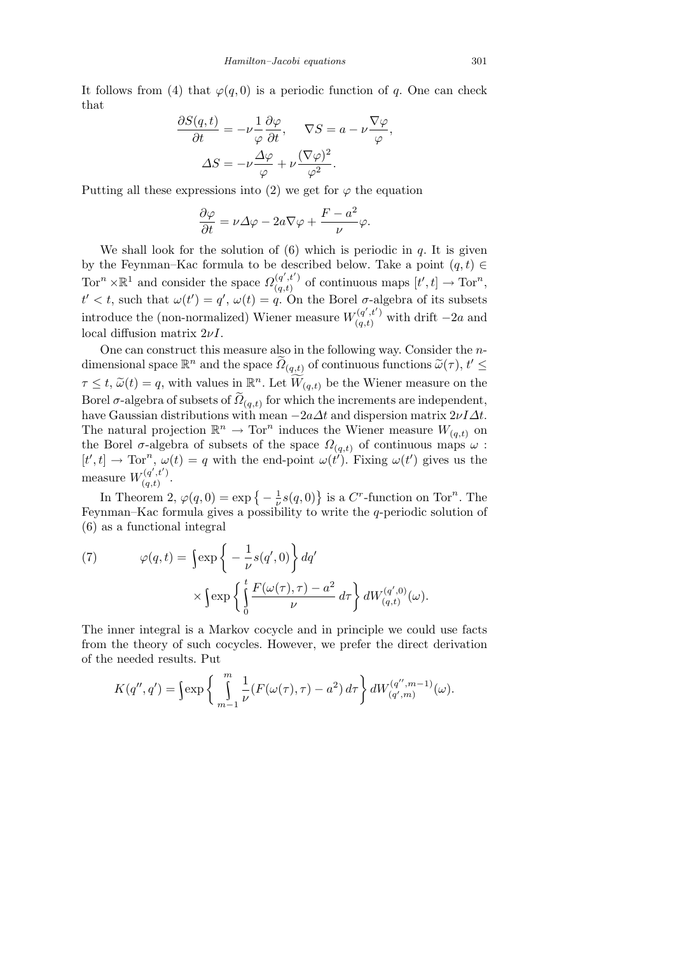It follows from (4) that  $\varphi(q, 0)$  is a periodic function of *q*. One can check that

$$
\frac{\partial S(q,t)}{\partial t} = -\nu \frac{1}{\varphi} \frac{\partial \varphi}{\partial t}, \quad \nabla S = a - \nu \frac{\nabla \varphi}{\varphi},
$$

$$
\Delta S = -\nu \frac{\Delta \varphi}{\varphi} + \nu \frac{(\nabla \varphi)^2}{\varphi^2}.
$$

Putting all these expressions into (2) we get for  $\varphi$  the equation

$$
\frac{\partial \varphi}{\partial t} = \nu \varDelta \varphi - 2a \nabla \varphi + \frac{F-a^2}{\nu} \varphi.
$$

We shall look for the solution of  $(6)$  which is periodic in  $q$ . It is given by the Feynman–Kac formula to be described below. Take a point  $(q, t) \in$  $Tor^{n} \times \mathbb{R}^{1}$  and consider the space  $\Omega_{(q,t)}^{(q',t')}$  $(q', t')$  of continuous maps  $[t', t] \to \text{Tor}^n$ ,  $t' < t$ , such that  $\omega(t') = q'$ ,  $\omega(t) = q$ . On the Borel *σ*-algebra of its subsets introduce the (non-normalized) Wiener measure  $W_{(a,t)}^{(q',t')}$  $\int_{(q,t)}^{(q,t)}$  with drift  $-2a$  and local diffusion matrix 2*νI*.

One can construct this measure also in the following way. Consider the *n*dimensional space  $\mathbb{R}^n$  and the space  $\widetilde{\Omega}_{(q,t)}$  of continuous functions  $\widetilde{\omega}(\tau)$ ,  $t' \leq$  $\tau \leq t$ ,  $\widetilde{\omega}(t) = q$ , with values in  $\mathbb{R}^n$ . Let  $\widetilde{W}_{(q,t)}$  be the Wiener measure on the Borel  $\sigma$ -algebra of subsets of  $\widetilde{D}_{(q,t)}$  for which the increments are independent, have Gaussian distributions with mean *−*2*a∆t* and dispersion matrix 2*νI∆t*. The natural projection  $\mathbb{R}^n \to \text{Tor}^n$  induces the Wiener measure  $W_{(q,t)}$  on the Borel  $\sigma$ -algebra of subsets of the space  $\Omega_{(q,t)}$  of continuous maps  $\omega$ :  $[t', t] \to \text{Tor}^n$ ,  $\omega(t) = q$  with the end-point  $\omega(t')$ . Fixing  $\omega(t')$  gives us the measure  $W_{(a,t)}^{(q',t')}$  $\frac{q}{q,t}$ .<br>  $\frac{q}{q,t}$ .

In Theorem 2,  $\varphi(q,0) = \exp\left\{-\frac{1}{n}\right\}$  $\frac{1}{\nu}$ *s*(*q*, 0) is a *C<sup><i>r*</sup>-function on Tor<sup>*n*</sup>. The Feynman–Kac formula gives a possibility to write the *q*-periodic solution of (6) as a functional integral

(7) 
$$
\varphi(q,t) = \int \exp \left\{ -\frac{1}{\nu} s(q',0) \right\} dq'
$$

$$
\times \int \exp \left\{ \int_0^t \frac{F(\omega(\tau), \tau) - a^2}{\nu} d\tau \right\} dW_{(q,t)}^{(q',0)}(\omega).
$$

The inner integral is a Markov cocycle and in principle we could use facts from the theory of such cocycles. However, we prefer the direct derivation of the needed results. Put

$$
K(q'',q') = \left\{ \exp\left\{ \int\limits_{m-1}^{m} \frac{1}{\nu} (F(\omega(\tau),\tau) - a^2) d\tau \right\} dW_{(q',m)}^{(q'',m-1)}(\omega).
$$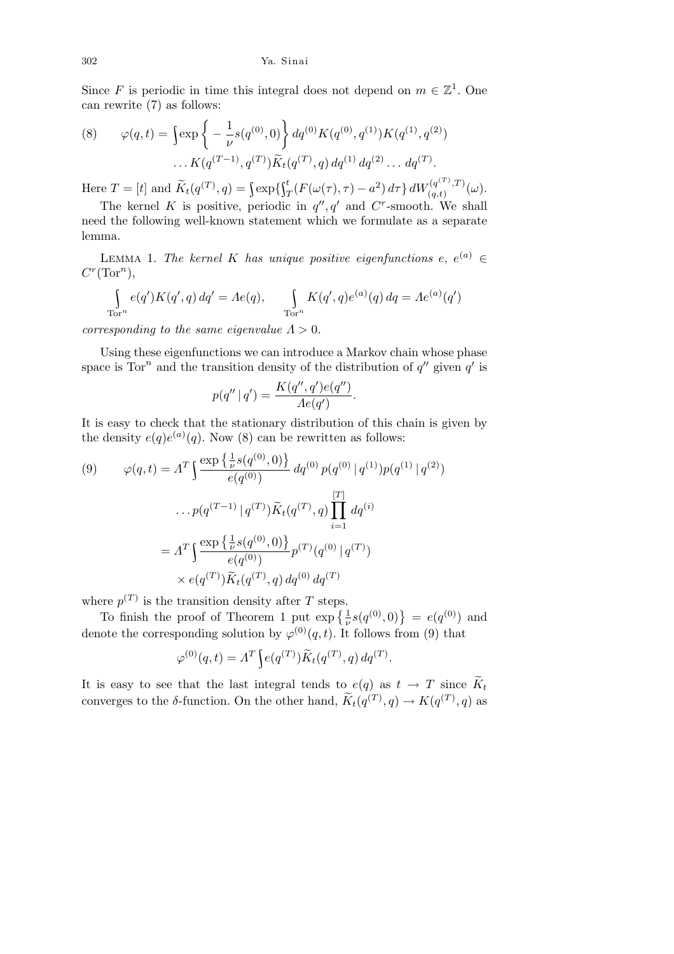302 Ya. Sinai

Since *F* is periodic in time this integral does not depend on  $m \in \mathbb{Z}^1$ . One can rewrite (7) as follows:

(8) 
$$
\varphi(q,t) = \int \exp \left\{ -\frac{1}{\nu} s(q^{(0)}, 0) \right\} dq^{(0)} K(q^{(0)}, q^{(1)}) K(q^{(1)}, q^{(2)})
$$

$$
\dots K(q^{(T-1)}, q^{(T)}) \widetilde{K}_t(q^{(T)}, q) dq^{(1)} dq^{(2)} \dots dq^{(T)}.
$$

Here  $T = [t]$  and  $\widetilde{K}_t(q^{(T)}, q) = \int \exp\{\int_T^t (F(\omega(\tau), \tau) - a^2) d\tau\} dW_{(q,t)}^{(q^{(T)}, T)}$  $\frac{f(q^{\lambda-\gamma},I)}{(q,t)}(\omega).$ 

The kernel *K* is positive, periodic in  $q''$ ,  $q'$  and  $C^r$ -smooth. We shall need the following well-known statement which we formulate as a separate lemma.

LEMMA 1. *The kernel K has unique positive eigenfunctions*  $e, e^{(a)} \in$  $C^r(\text{Tor}^n)$ ,

$$
\int_{\text{Tor}^n} e(q') K(q', q) \, dq' = A e(q), \qquad \int_{\text{Tor}^n} K(q', q) e^{(a)}(q) \, dq = A e^{(a)}(q')
$$

*corresponding to the same eigenvalue*  $\Lambda > 0$ *.* 

Using these eigenfunctions we can introduce a Markov chain whose phase space is  $Tor^n$  and the transition density of the distribution of  $q''$  given  $q'$  is

$$
p(q'' | q') = \frac{K(q'', q')e(q'')}{Ae(q')}
$$

*.*

It is easy to check that the stationary distribution of this chain is given by the density  $e(q)e^{(a)}(q)$ . Now (8) can be rewritten as follows:

(9) 
$$
\varphi(q,t) = A^T \int \frac{\exp\left\{\frac{1}{\nu} s(q^{(0)},0)\right\}}{e(q^{(0)})} dq^{(0)} p(q^{(0)} | q^{(1)}) p(q^{(1)} | q^{(2)})
$$

$$
\dots p(q^{(T-1)} | q^{(T)}) \widetilde{K}_t(q^{(T)}, q) \prod_{i=1}^{[T]} dq^{(i)}
$$

$$
= A^T \int \frac{\exp\left\{\frac{1}{\nu} s(q^{(0)},0)\right\}}{e(q^{(0)})} p^{(T)} (q^{(0)} | q^{(T)})
$$

$$
\times e(q^{(T)}) \widetilde{K}_t(q^{(T)}, q) dq^{(0)} dq^{(T)}
$$

where  $p^{(T)}$  is the transition density after *T* steps.

To finish the proof of Theorem 1 put  $\exp\left\{\frac{1}{\nu} s(q^{(0)},0)\right\} = e(q^{(0)})$  and denote the corresponding solution by  $\varphi^{(0)}(q,t)$ . It follows from (9) that

$$
\varphi^{(0)}(q,t) = \varLambda^T \int e(q^{(T)}) \widetilde{K}_t(q^{(T)},q) \, dq^{(T)}.
$$

It is easy to see that the last integral tends to  $e(q)$  as  $t \to T$  since  $\widetilde{K}_t$ converges to the *δ*-function. On the other hand,  $\widetilde{K}_t(q^{(T)}, q) \to K(q^{(T)}, q)$  as